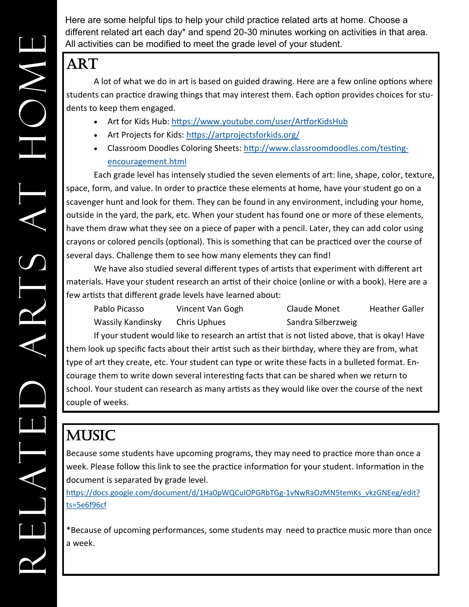Here are some helpful tips to help your child practice related arts at home. Choose a different related art each day\* and spend 20-30 minutes working on activities in that area. All activities can be modified to meet the grade level of your student.

#### ART

A lot of what we do in art is based on guided drawing. Here are a few online options where students can practice drawing things that may interest them. Each option provides choices for students to keep them engaged.

- Art for Kids Hub:<https://www.youtube.com/user/ArtforKidsHub>
- Art Projects for Kids:<https://artprojectsforkids.org/>
- Classroom Doodles Coloring Sheets: [http://www.classroomdoodles.com/testing](http://www.classroomdoodles.com/testing-encouragement.html)[encouragement.html](http://www.classroomdoodles.com/testing-encouragement.html)

Each grade level has intensely studied the seven elements of art: line, shape, color, texture, space, form, and value. In order to practice these elements at home, have your student go on a scavenger hunt and look for them. They can be found in any environment, including your home, outside in the yard, the park, etc. When your student has found one or more of these elements, have them draw what they see on a piece of paper with a pencil. Later, they can add color using crayons or colored pencils (optional). This is something that can be practiced over the course of several days. Challenge them to see how many elements they can find!

We have also studied several different types of artists that experiment with different art materials. Have your student research an artist of their choice (online or with a book). Here are a few artists that different grade levels have learned about:

| Pablo Picasso     | Vincent Van Gogh | Claude Monet       | <b>Heather Galler</b> |
|-------------------|------------------|--------------------|-----------------------|
| Wassily Kandinsky | Chris Uphues     | Sandra Silberzweig |                       |

If your student would like to research an artist that is not listed above, that is okay! Have them look up specific facts about their artist such as their birthday, where they are from, what type of art they create, etc. Your student can type or write these facts in a bulleted format. Encourage them to write down several interesting facts that can be shared when we return to school. Your student can research as many artists as they would like over the course of the next couple of weeks.

# **MUSIC**

Because some students have upcoming programs, they may need to practice more than once a week. Please follow this link to see the practice information for your student. Information in the document is separated by grade level.

[https://docs.google.com/document/d/1Ha0pWQCulOPGRbTGg](https://docs.google.com/document/d/1Ha0pWQCulOPGRbTGg-1vNwRaOzMN5temKs_vkzGNEeg/edit?ts=5e6f96cf)-1vNwRaOzMN5temKs\_vkzGNEeg/edit? [ts=5e6f96cf](https://docs.google.com/document/d/1Ha0pWQCulOPGRbTGg-1vNwRaOzMN5temKs_vkzGNEeg/edit?ts=5e6f96cf)

\*Because of upcoming performances, some students may need to practice music more than once a week.